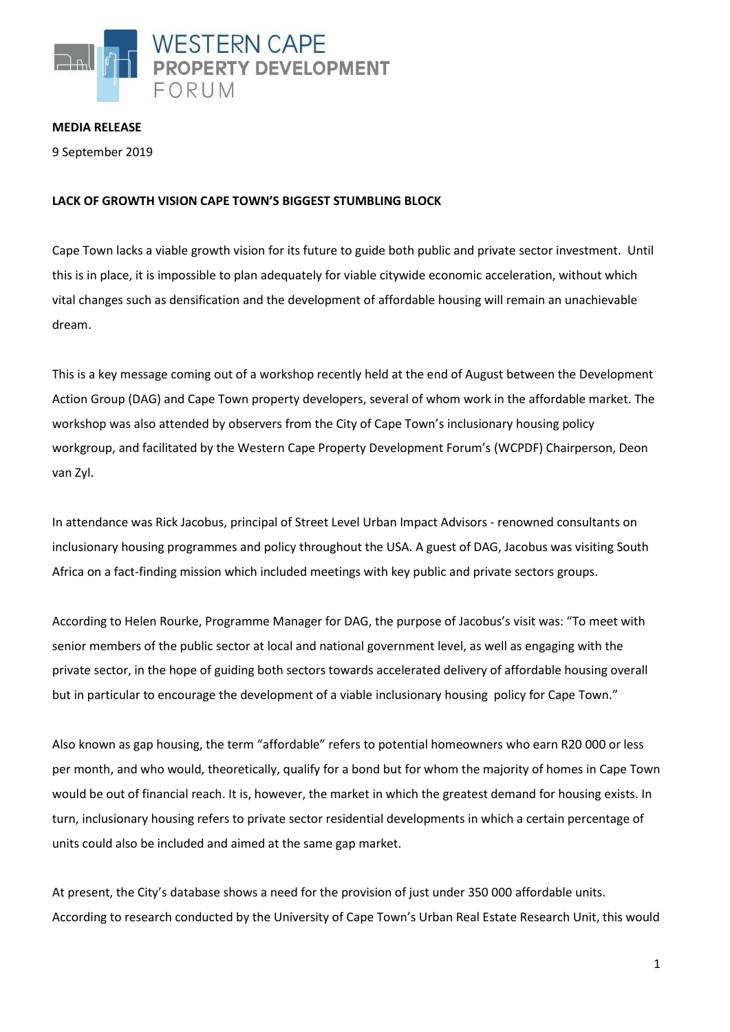

**MEDIA RELEASE**

9 September 2019

## **LACK OF GROWTH VISION CAPE TOWN'S BIGGEST STUMBLING BLOCK**

Cape Town lacks a viable growth vision for its future to guide both public and private sector investment. Until this is in place, it is impossible to plan adequately for viable citywide economic acceleration, without which vital changes such as densification and the development of affordable housing will remain an unachievable dream.

This is a key message coming out of a workshop recently held at the end of August between the Development Action Group (DAG) and Cape Town property developers, several of whom work in the affordable market. The workshop was also attended by observers from the City of Cape Town's inclusionary housing policy workgroup, and facilitated by the Western Cape Property Development Forum's (WCPDF) Chairperson, Deon van Zyl.

In attendance was Rick Jacobus, principal of Street Level Urban Impact Advisors - renowned consultants on inclusionary housing programmes and policy throughout the USA. A guest of DAG, Jacobus was visiting South Africa on a fact-finding mission which included meetings with key public and private sectors groups.

According to Helen Rourke, Programme Manager for DAG, the purpose of Jacobus's visit was: "To meet with senior members of the public sector at local and national government level, as well as engaging with the private sector, in the hope of guiding both sectors towards accelerated delivery of affordable housing overall but in particular to encourage the development of a viable inclusionary housing policy for Cape Town."

Also known as gap housing, the term "affordable" refers to potential homeowners who earn R20 000 or less per month, and who would, theoretically, qualify for a bond but for whom the majority of homes in Cape Town would be out of financial reach. It is, however, the market in which the greatest demand for housing exists. In turn, inclusionary housing refers to private sector residential developments in which a certain percentage of units could also be included and aimed at the same gap market.

At present, the City's database shows a need for the provision of just under 350 000 affordable units. According to research conducted by the University of Cape Town's Urban Real Estate Research Unit, this would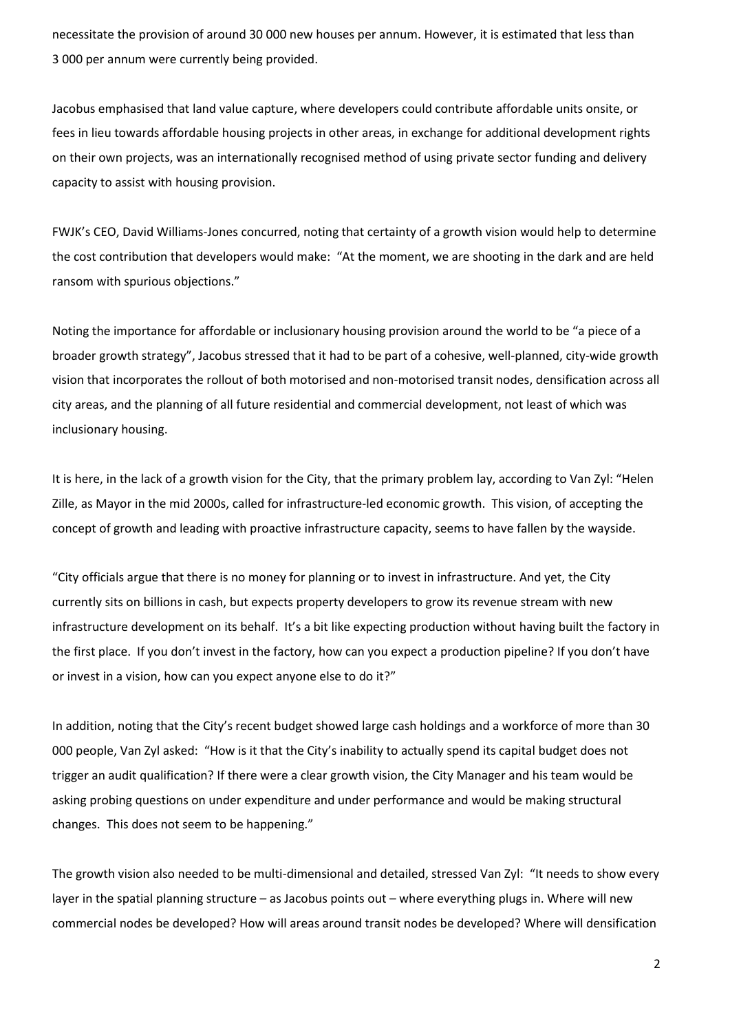necessitate the provision of around 30 000 new houses per annum. However, it is estimated that less than 3 000 per annum were currently being provided.

Jacobus emphasised that land value capture, where developers could contribute affordable units onsite, or fees in lieu towards affordable housing projects in other areas, in exchange for additional development rights on their own projects, was an internationally recognised method of using private sector funding and delivery capacity to assist with housing provision.

FWJK's CEO, David Williams-Jones concurred, noting that certainty of a growth vision would help to determine the cost contribution that developers would make: "At the moment, we are shooting in the dark and are held ransom with spurious objections."

Noting the importance for affordable or inclusionary housing provision around the world to be "a piece of a broader growth strategy", Jacobus stressed that it had to be part of a cohesive, well-planned, city-wide growth vision that incorporates the rollout of both motorised and non-motorised transit nodes, densification across all city areas, and the planning of all future residential and commercial development, not least of which was inclusionary housing.

It is here, in the lack of a growth vision for the City, that the primary problem lay, according to Van Zyl: "Helen Zille, as Mayor in the mid 2000s, called for infrastructure-led economic growth. This vision, of accepting the concept of growth and leading with proactive infrastructure capacity, seems to have fallen by the wayside.

"City officials argue that there is no money for planning or to invest in infrastructure. And yet, the City currently sits on billions in cash, but expects property developers to grow its revenue stream with new infrastructure development on its behalf. It's a bit like expecting production without having built the factory in the first place. If you don't invest in the factory, how can you expect a production pipeline? If you don't have or invest in a vision, how can you expect anyone else to do it?"

In addition, noting that the City's recent budget showed large cash holdings and a workforce of more than 30 000 people, Van Zyl asked: "How is it that the City's inability to actually spend its capital budget does not trigger an audit qualification? If there were a clear growth vision, the City Manager and his team would be asking probing questions on under expenditure and under performance and would be making structural changes. This does not seem to be happening."

The growth vision also needed to be multi-dimensional and detailed, stressed Van Zyl: "It needs to show every layer in the spatial planning structure – as Jacobus points out – where everything plugs in. Where will new commercial nodes be developed? How will areas around transit nodes be developed? Where will densification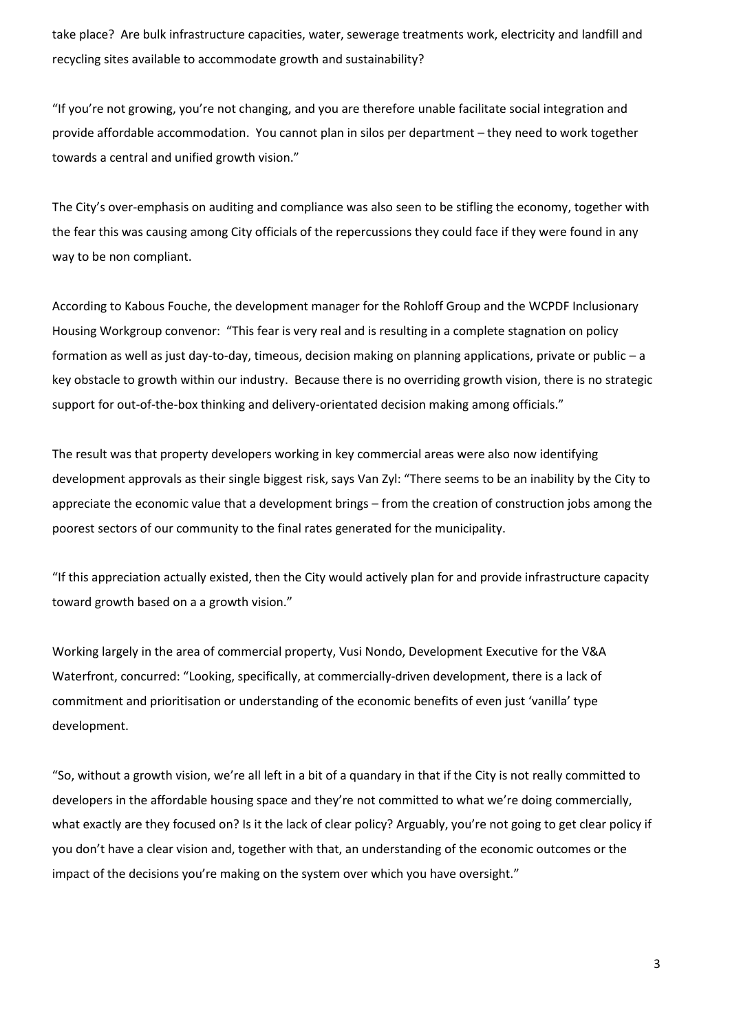take place? Are bulk infrastructure capacities, water, sewerage treatments work, electricity and landfill and recycling sites available to accommodate growth and sustainability?

"If you're not growing, you're not changing, and you are therefore unable facilitate social integration and provide affordable accommodation. You cannot plan in silos per department – they need to work together towards a central and unified growth vision."

The City's over-emphasis on auditing and compliance was also seen to be stifling the economy, together with the fear this was causing among City officials of the repercussions they could face if they were found in any way to be non compliant.

According to Kabous Fouche, the development manager for the Rohloff Group and the WCPDF Inclusionary Housing Workgroup convenor: "This fear is very real and is resulting in a complete stagnation on policy formation as well as just day-to-day, timeous, decision making on planning applications, private or public – a key obstacle to growth within our industry. Because there is no overriding growth vision, there is no strategic support for out-of-the-box thinking and delivery-orientated decision making among officials."

The result was that property developers working in key commercial areas were also now identifying development approvals as their single biggest risk, says Van Zyl: "There seems to be an inability by the City to appreciate the economic value that a development brings – from the creation of construction jobs among the poorest sectors of our community to the final rates generated for the municipality.

"If this appreciation actually existed, then the City would actively plan for and provide infrastructure capacity toward growth based on a a growth vision."

Working largely in the area of commercial property, Vusi Nondo, Development Executive for the V&A Waterfront, concurred: "Looking, specifically, at commercially-driven development, there is a lack of commitment and prioritisation or understanding of the economic benefits of even just 'vanilla' type development.

"So, without a growth vision, we're all left in a bit of a quandary in that if the City is not really committed to developers in the affordable housing space and they're not committed to what we're doing commercially, what exactly are they focused on? Is it the lack of clear policy? Arguably, you're not going to get clear policy if you don't have a clear vision and, together with that, an understanding of the economic outcomes or the impact of the decisions you're making on the system over which you have oversight."

3